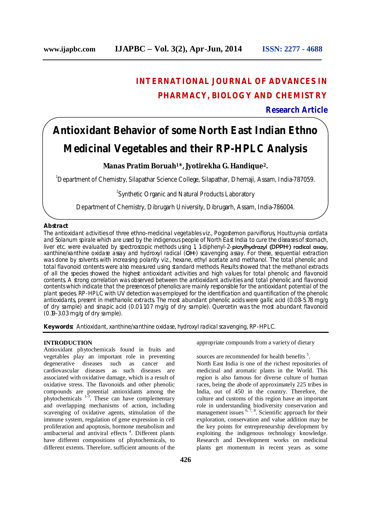## **INTERNATIONAL JOURNAL OF ADVANCES IN PHARMACY, BIOLOGY AND CHEMISTRY**

## **Research Article**

# **Antioxidant Behavior of some North East Indian Ethno Medicinal Vegetables and their RP-HPLC Analysis**

## **Manas Pratim Boruah1\*, Jyotirekha G. Handique2.**

<sup>1</sup>Department of Chemistry, Silapathar Science College, Silapathar, Dhemaji, Assam, India-787059.

<sup>2</sup>Synthetic Organic and Natural Products Laboratory

Department of Chemistry, Dibrugarh University, Dibrugarh, Assam, India-786004.

## **Abstract**

The antioxidant activities of three ethno-medicinal vegetables viz., *Pogostemon parviflorus, Houttuynia cordata*  and *Solanum spirale* which are used by the indigenous people of North East India to cure the diseases of stomach, liver etc. were evaluated by spectroscopic methods using 1, 1-diphenyl-2-picrylhydrazyl (DPPH∙) radical assay, xanthine/xanthine oxidase assay and hydroxyl radical (OH∙) scavenging assay. For these, sequential extraction was done by solvents with increasing polarity viz., hexane, ethyl acetate and methanol. The total phenolic and total flavonoid contents were also measured using standard methods. Results showed that the methanol extracts of all the species showed the highest antioxidant activities and high values for total phenolic and flavonoid contents. A strong correlation was observed between the antioxidant activities and total phenolic and flavonoid contents which indicate that the presences of phenolics are mainly responsible for the antioxidant potential of the plant species. RP-HPLC with UV detection was employed for the identification and quantification of the phenolic antioxidants, present in methanolic extracts. The most abundant phenolic acids were gallic acid (0.08-5.78 mg/g of dry sample) and sinapic acid (0.01-1.07 mg/g of dry sample). Quercetin was the most abundant flavonoid (0.19-3.03 mg/g of dry sample).

**Keywords:** *Antioxidant, xanthine/xanthine oxidase, hydroxyl radical scavenging, RP-HPLC.*

#### **INTRODUCTION**

Antioxidant phytochemicals found in fruits and vegetables play an important role in preventing degenerative diseases such as cancer and cardiovascular diseases as such diseases are associated with oxidative damage, which is a result of oxidative stress. The flavonoids and other phenolic compounds are potential antioxidants among the phytochemicals  $1-3$ . These can have complementary and overlapping mechanisms of action, including scavenging of oxidative agents, stimulation of the immune system, regulation of gene expression in cell proliferation and apoptosis, hormone metabolism and antibacterial and antiviral effects<sup>4</sup>. Different plants have different compositions of phytochemicals, to different extents. Therefore, sufficient amounts of the

appropriate compounds from a variety of dietary

sources are recommended for health benefits<sup>5</sup>. North East India is one of the richest repositories of medicinal and aromatic plants in the World. This region is also famous for diverse culture of human races, being the abode of approximately 225 tribes in India, out of 450 in the country. Therefore, the culture and customs of this region have an important role in understanding biodiversity conservation and management issues  $6, 7, 8$ . Scientific approach for their exploration, conservation and value addition may be the key points for entrepreneurship development by exploiting the indigenous technology knowledge. Research and Development works on medicinal plants get momentum in recent years as some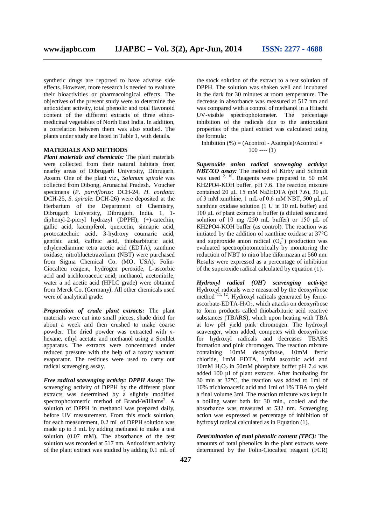synthetic drugs are reported to have adverse side effects. However, more research is needed to evaluate their bioactivities or pharmacological effects. The objectives of the present study were to determine the antioxidant activity, total phenolic and total flavonoid content of the different extracts of three ethnomedicinal vegetables of North East India. In addition, a correlation between them was also studied. The plants under study are listed in Table 1, with details.

## **MATERIALS AND METHODS**

*Plant materials and chemicals:* The plant materials were collected from their natural habitats from nearby areas of Dibrugarh University, Dibrugarh, Assam. One of the plant viz., *Solanum spirale* was collected from Dibong, Arunachal Pradesh. Voucher specimens (*P. parviflorus*: DCH-24, *H. cordata:* DCH-25, *S. spirale*: DCH-26) were deposited at the Herbarium of the Department of Chemistry, Dibrugarh University, Dibrugarh, India. 1, 1 diphenyl-2-picryl hydrazyl (DPPH), (+)-catechin, gallic acid, kaempferol, quercetin, sinnapic acid, protocatechuic acid, 3-hydroxy coumaric acid, gentisic acid, caffeic acid, thiobarbituric acid, ethylenediamine tetra acetic acid (EDTA), xanthine oxidase, nitrobluetetrazolium (NBT) were purchased from Sigma Chemical Co. (MO, USA). Folin-Ciocalteu reagent, hydrogen peroxide, L-ascorbic acid and trichloroacetic acid; methanol, acetonitrile, water a nd acetic acid (HPLC grade) were obtained from Merck Co. (Germany). All other chemicals used were of analytical grade.

*Preparation of crude plant extracts:* The plant materials were cut into small pieces, shade dried for about a week and then crushed to make coarse powder. The dried powder was extracted with *n*hexane, ethyl acetate and methanol using a Soxhlet apparatus. The extracts were concentrated under reduced pressure with the help of a rotary vacuum evaporator. The residues were used to carry out radical scavenging assay.

*Free radical scavenging activity: DPPH Assay:* The scavenging activity of DPPH by the different plant extracts was determined by a slightly modified spectrophotometric method of Brand-Williams<sup>9</sup>. A solution of DPPH in methanol was prepared daily, before UV measurement. From this stock solution, for each measurement, 0.2 mL of DPPH solution was made up to 3 mL by adding methanol to make a test solution (0.07 mM). The absorbance of the test solution was recorded at 517 nm. Antioxidant activity of the plant extract was studied by adding 0.1 mL of

the stock solution of the extract to a test solution of DPPH. The solution was shaken well and incubated in the dark for 30 minutes at room temperature. The decrease in absorbance was measured at 517 nm and was compared with a control of methanol in a Hitachi UV-visible spectrophotometer. The percentage inhibition of the radicals due to the antioxidant properties of the plant extract was calculated using the formula:

Inhibition (%) = (Acontrol - Asample)/Acontrol  $\times$  $100$  ----  $(1)$ 

*Superoxide anion radical scavenging activity: NBT/XO assay:* The method of Kirby and Schmidt was used  $2, 10$ . Reagents were prepared in 50 mM KH2PO4-KOH buffer, pH 7.6. The reaction mixture contained 20 μL 15 mM Na2EDTA (pH  $7.6$ ), 30 μL of 3 mM xanthine, 1 mL of 0.6 mM NBT, 500 μL of xanthine oxidase solution (1 U in 10 mL buffer) and 100 μL of plant extracts in buffer (a diluted sonicated solution of 10 mg /250 mL buffer) or 150 μL of KH2PO4-KOH buffer (as control). The reaction was initiated by the addition of xanthine oxidase at 37°C and superoxide anion radical  $(O_2^{\star})$  production was evaluated spectrophotometrically by monitoring the reduction of NBT to nitro blue diformazan at 560 nm. Results were expressed as a percentage of inhibition of the superoxide radical calculated by equation (1).

*Hydroxyl radical (OH• ) scavenging activity:*  Hydroxyl radicals were measured by the deoxyribose method <sup>11, 12</sup>. Hydroxyl radicals generated by ferricascorbate-EDTA- $H_2O_2$ , which attacks on deoxyribose to form products called thiobarbituric acid reactive substances (TBARS), which upon heating with TBA at low pH yield pink chromogen. The hydroxyl scavenger, when added, competes with deoxyribose for hydroxyl radicals and decreases TBARS formation and pink chromogen. The reaction mixture containing 10mM deoxyribose, 10mM ferric chloride, 1mM EDTA, 1mM ascorbic acid and 10mM  $H_2O_2$  in 50mM phosphate buffer pH 7.4 was added 100 µl of plant extracts. After incubating for 30 min at 37°C, the reaction was added to 1ml of 10% trichloroacetic acid and 1ml of 1% TBA to yield a final volume 3ml. The reaction mixture was kept in a boiling water bath for 30 min., cooled and the absorbance was measured at 532 nm. Scavenging action was expressed as percentage of inhibition of hydroxyl radical calculated as in Equation (1).

*Determination of total phenolic content (TPC):* The amounts of total phenolics in the plant extracts were determined by the Folin-Ciocalteu reagent (FCR)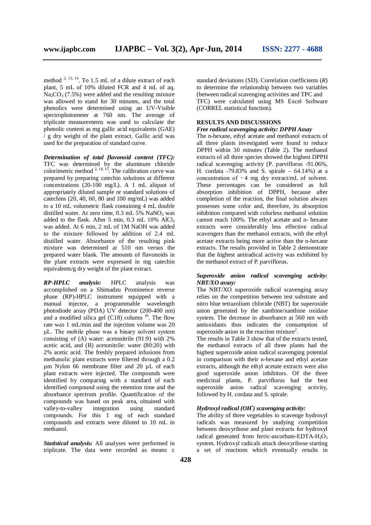method  $^{2, 13, 14}$ . To 1.5 mL of a dilute extract of each plant, 5 mL of 10% diluted FCR and 4 mL of aq.  $Na_2CO_3$  (7.5%) were added and the resulting mixture was allowed to stand for 30 minutes, and the total phenolics were determined using an UV-Visible spectrophotometer at 760 nm. The average of triplicate measurements was used to calculate the phenolic content as mg gallic acid equivalents (GAE) / g dry weight of the plant extract. Gallic acid was used for the preparation of standard curve.

*Determination of total flavonoid content (TFC):*  TFC was determined by the aluminum chloride colorimetric method  $2, 14, 15$ . The calibration curve was prepared by preparing catechin solutions at different concentrations (20-100 mg/L). A 1 mL aliquot of appropriately diluted sample or standard solutions of catechins (20, 40, 60, 80 and 100 mg/mL) was added to a 10 mL volumetric flask containing 4 mL double distilled water. At zero time,  $0.3$  mL  $5\%$  NaNO<sub>2</sub> was added to the flask. After 5 min,  $0.3$  mL  $10\%$  AlCl<sub>3</sub> was added. At 6 min, 2 mL of 1M NaOH was added to the mixture followed by addition of 2.4 mL distilled water. Absorbance of the resulting pink mixture was determined at 510 nm versus the prepared water blank. The amounts of flavonoids in the plant extracts were expressed in mg catechin equivalents/g dry weight of the plant extract.

*RP-HPLC analysis:* HPLC analysis was accomplished on a Shimadzu Prominence reverse phase (RP)-HPLC instrument equipped with a manual injector, a programmable wavelength photodiode array (PDA) UV detector (200-400 nm) and a modified silica gel  $(C18)$  column <sup>16</sup>. The flow rate was 1 mL/min and the injection volume was 20 μL. The mobile phase was a binary solvent system consisting of (A) water: acetonitrile (91:9) with 2% acetic acid, and (B) acetonitrile: water (80:20) with 2% acetic acid. The freshly prepared infusions from methanolic plant extracts were filtered through a 0.2 µm Nylon 66 membrane filter and 20 µL of each plant extracts were injected. The compounds were identified by comparing with a standard of each identified compound using the retention time and the absorbance spectrum profile. Quantification of the compounds was based on peak area, obtained with valley-to-valley integration using standard compounds. For this 1 mg of each standard compounds and extracts were diluted to 10 mL in methanol.

*Statistical analysis:* All analyses were performed in triplicate. The data were recorded as means  $\pm$  standard deviations (SD). Correlation coefficients (*R*) to determine the relationship between two variables (between radical scavenging activities and TPC and TFC) were calculated using MS Excel Software (CORREL statistical function).

## **RESULTS AND DISCUSSIONS**

## *Free radical scavenging activity: DPPH Assay*

The n-hexane, ethyl acetate and methanol extracts of all three plants investigated were found to reduce DPPH within 30 minutes (Table 2). The methanol extracts of all three species showed the highest DPPH radical scavenging activity (P. parviflorus -91.06%, H. cordata  $-79.83\%$  and S. spirale  $-64.14\%$ ) at a concentration of  $\sim$  4 mg dry extract/mL of solvent. These percentages can be considered as full absorption inhibition of DPPH, because after completion of the reaction, the final solution always possesses some color and, therefore, its absorption inhibition compared with colorless methanol solution cannot reach 100%. The ethyl acetate and n- hexane extracts were considerably less effective radical scavengers than the methanol extracts, with the ethyl acetate extracts being more active than the n-hexane extracts. The results provided in Table 2 demonstrate that the highest antiradical activity was exhibited by the methanol extract of P. parviflorus.

## *Superoxide anion radical scavenging activity: NBT/XO assay:*

The NBT/XO superoxide radical scavenging assay relies on the competition between test substrate and nitro blue tetrazolium chloride (NBT) for superoxide anion generated by the xanthine/xanthine oxidase system. The decrease in absorbance at 560 nm with antioxidants thus indicates the consumption of superoxide anion in the reaction mixture<sup>2</sup>.

The results in Table 3 show that of the extracts tested, the methanol extracts of all three plants had the highest superoxide anion radical scavenging potential in comparison with their n-hexane and ethyl acetate extracts, although the ethyl acetate extracts were also good superoxide anion inhibitors. Of the three medicinal plants, P. parviflorus had the best superoxide anion radical scavenging activity, followed by H. cordata and S. spirale.

## *Hydroxyl radical (OH• ) scavenging activity:*

The ability of three vegetables to scavenge hydroxyl radicals was measured by studying competition between deoxyribose and plant extracts for hydroxyl radical generated from ferric-ascorbate-EDTA-H<sub>2</sub>O<sub>2</sub> system. Hydroxyl radicals attack deoxyribose starting a set of reactions which eventually results in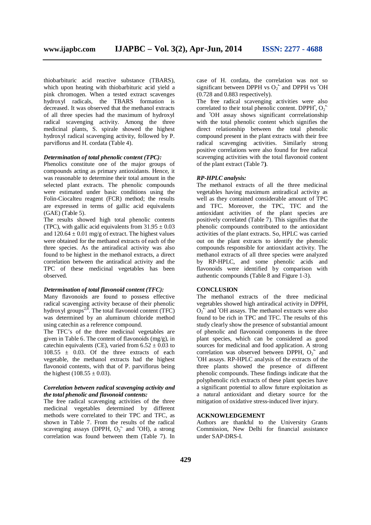thiobarbituric acid reactive substance (TBARS), which upon heating with thiobarbituric acid yield a pink chromogen. When a tested extract scavenges hydroxyl radicals, the TBARS formation is decreased. It was observed that the methanol extracts of all three species had the maximum of hydroxyl radical scavenging activity. Among the three medicinal plants, S. spirale showed the highest hydroxyl radical scavenging activity, followed by P. parviflorus and H. cordata (Table 4).

#### *Determination of total phenolic content (TPC):*

Phenolics constitute one of the major groups of compounds acting as primary antioxidants. Hence, it was reasonable to determine their total amount in the selected plant extracts. The phenolic compounds were estimated under basic conditions using the Folin-Ciocalteu reagent (FCR) method; the results are expressed in terms of gallic acid equivalents (GAE) (Table 5).

The results showed high total phenolic contents (TPC), with gallic acid equivalents from  $31.95 \pm 0.03$ and  $120.64 \pm 0.01$  mg/g of extract. The highest values were obtained for the methanol extracts of each of the three species. As the antiradical activity was also found to be highest in the methanol extracts, a direct correlation between the antiradical activity and the TPC of these medicinal vegetables has been observed.

## *Determination of total flavonoid content (TFC):*

Many flavonoids are found to possess effective radical scavenging activity because of their phenolic hydroxyl groups<sup> $2,8$ </sup>. The total flavonoid content (TFC) was determined by an aluminum chloride method using catechin as a reference compound.

The TFC's of the three medicinal vegetables are given in Table 6. The content of flavonoids (mg/g), in catechin equivalents (CE), varied from  $6.52 \pm 0.03$  to  $108.55 \pm 0.03$ . Of the three extracts of each vegetable, the methanol extracts had the highest flavonoid contents, with that of P. parviflorus being the highest (108.55  $\pm$  0.03).

## *Correlation between radical scavenging activity and the total phenolic and flavonoid contents:*

The free radical scavenging activities of the three medicinal vegetables determined by different methods were correlated to their TPC and TFC, as shown in Table 7. From the results of the radical scavenging assays (DPPH,  $O_2$ <sup>\*</sup> and <sup>\*</sup>OH), a strong correlation was found between them (Table 7). In

case of H. cordata, the correlation was not so significant between DPPH vs  $O_2^{\star}$  and DPPH vs  $\cdot$ OH (0.728 and 0.883 respectively).

The free radical scavenging activities were also correlated to their total phenolic content. DPPH,  $O_2$ <sup>\*</sup> and •OH assay shows significant corrrelationship with the total phenolic content which signifies the direct relationship between the total phenolic compound present in the plant extracts with their free radical scavenging activities. Similarly strong positive correlations were also found for free radical scavenging activities with the total flavonoid content of the plant extract (Table 7**)**.

#### *RP-HPLC analysis:*

The methanol extracts of all the three medicinal vegetables having maximum antiradical activity as well as they contained considerable amount of TPC and TFC. Moreover, the TPC, TFC and the antioxidant activities of the plant species are positively correlated (Table 7). This signifies that the phenolic compounds contributed to the antioxidant activities of the plant extracts. So, HPLC was carried out on the plant extracts to identify the phenolic compounds responsible for antioxidant activity. The methanol extracts of all three species were analyzed by RP-HPLC, and some phenolic acids and flavonoids were identified by comparison with authentic compounds (Table 8 and Figure 1-3).

## **CONCLUSION**

The methanol extracts of the three medicinal vegetables showed high antiradical activity in DPPH,  $O_2$ <sup>\*</sup> and <sup>\*</sup>OH assays. The methanol extracts were also found to be rich in TPC and TFC. The results of this study clearly show the presence of substantial amount of phenolic and flavonoid components in the three plant species, which can be considered as good sources for medicinal and food application. A strong correlation was observed between DPPH,  $O_2$ <sup>\*</sup> and •OH assays. RP-HPLC analysis of the extracts of the three plants showed the presence of different phenolic compounds. These findings indicate that the polyphenolic rich extracts of these plant species have a significant potential to allow future exploitation as a natural antioxidant and dietary source for the mitigation of oxidative stress-induced liver injury.

## **ACKNOWLEDGEMENT**

Authors are thankful to the University Grants Commission, New Delhi for financial assistance under SAP-DRS-I.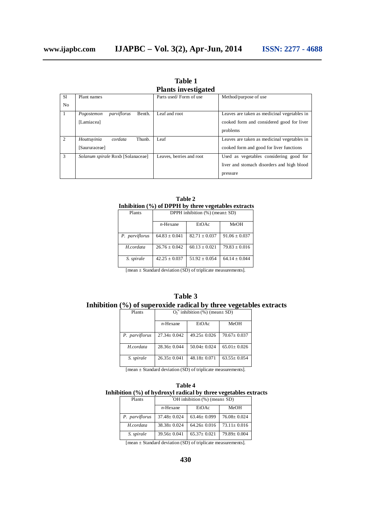|                | т тапты пременен                    |                          |                                             |  |  |  |  |  |
|----------------|-------------------------------------|--------------------------|---------------------------------------------|--|--|--|--|--|
| S1             | Plant names                         | Parts used/Form of use   | Method/purpose of use                       |  |  |  |  |  |
| N <sub>o</sub> |                                     |                          |                                             |  |  |  |  |  |
| $\overline{1}$ | Benth.<br>parviflorus<br>Pogostemon | Leaf and root            | Leaves are taken as medicinal vegetables in |  |  |  |  |  |
|                | [Lamiacea]                          |                          | cooked form and considered good for liver   |  |  |  |  |  |
|                |                                     |                          | problems                                    |  |  |  |  |  |
| 2              | Houttuvinia<br>Thunb.<br>cordata    | Leaf                     | Leaves are taken as medicinal vegetables in |  |  |  |  |  |
|                | [Saururaceae]                       |                          | cooked form and good for liver functions    |  |  |  |  |  |
| 3              | Solanum spirale Roxb [Solanaceae]   | Leaves, berries and root | Used as vegetables considering good for     |  |  |  |  |  |
|                |                                     |                          | liver and stomach disorders and high blood  |  |  |  |  |  |
|                |                                     |                          | pressure                                    |  |  |  |  |  |

**Table 1 Plants investigated**

| <b>Table 2</b>                                      |
|-----------------------------------------------------|
| Inhibition (%) of DPPH by three vegetables extracts |
|                                                     |

| Plants         | DPPH inhibition $(\% )$ (mean $\pm$ SD) |                   |                   |  |  |
|----------------|-----------------------------------------|-------------------|-------------------|--|--|
|                | $n$ -Hexane                             | EtOAc             | MeOH              |  |  |
| P. parviflorus | $64.83 \pm 0.041$                       | $82.71 + 0.037$   | $91.06 \pm 0.037$ |  |  |
| H.cordata      | $26.76 + 0.042$                         | $60.13 + 0.021$   | $79.83 \pm 0.016$ |  |  |
| S. spirale     | $42.25 + 0.037$                         | $51.92 \pm 0.054$ | $64.14 + 0.044$   |  |  |

[mean ± Standard deviation (SD) of triplicate measurements].

|        | Table 3                                                           |  |
|--------|-------------------------------------------------------------------|--|
|        | Inhibition (%) of superoxide radical by three vegetables extracts |  |
| Plants | $\Omega$ inhibition $(\% )$ (mean+ SD)                            |  |

| Plants         | $O_2$ inhibition (%) (mean ± SD) |                   |                   |  |  |  |
|----------------|----------------------------------|-------------------|-------------------|--|--|--|
|                | $n$ -Hexane                      | EtOAc             | MeOH              |  |  |  |
| P. parviflorus | $27.34 + 0.042$                  | $49.25 + 0.026$   | $70.67 + 0.037$   |  |  |  |
| H.cordata      | $28.36 + 0.044$                  | $50.04 \pm 0.024$ | $65.01 \pm 0.026$ |  |  |  |
| S. spirale     | $26.35+0.041$                    | $48.18 + 0.071$   | $63.55+0.054$     |  |  |  |

[mean ± Standard deviation (SD) of triplicate measurements].

| <b>Table 4</b>                                                                         |  |
|----------------------------------------------------------------------------------------|--|
| Inhibition $\left(\frac{0}{0}\right)$ of hydroxyl radical by three vegetables extracts |  |

| Plants         | $OH$ inhibition $(\%)$ (mean $\pm$ SD) |                   |                   |  |  |  |
|----------------|----------------------------------------|-------------------|-------------------|--|--|--|
|                | $n$ -Hexane                            | EtOAc             | MeOH              |  |  |  |
| P. parviflorus | $37.48 \pm 0.024$                      | $63.46 \pm 0.099$ | $76.08 \pm 0.024$ |  |  |  |
| H.cordata      | $38.38 \pm 0.024$                      | $64.26 \pm 0.016$ | $73.11 \pm 0.016$ |  |  |  |
| S. spirale     | $39.56 \pm 0.041$                      | $65.37 + 0.021$   | $79.89 + 0.004$   |  |  |  |

[mean ± Standard deviation (SD) of triplicate measurements].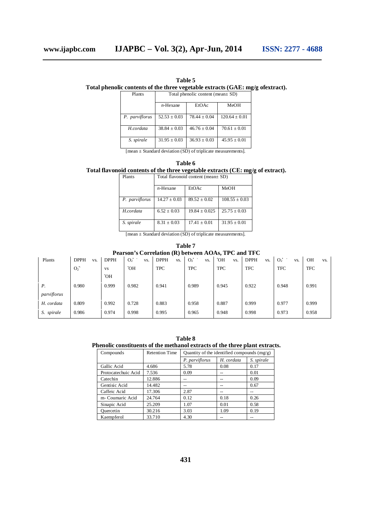## **Total phenolic contents of the three vegetable extracts (GAE: mg/g ofextract).**

Plants Total phenolic content (mean± SD)

|                | $n$ -Hexane      | EtOAc            | MeOH             |  |  |  |
|----------------|------------------|------------------|------------------|--|--|--|
| P. parviflorus | $52.53 + 0.03$   | $78.44 \pm 0.04$ | $120.64 + 0.01$  |  |  |  |
| H cordata      | $38.84 \pm 0.03$ | $46.76 \pm 0.04$ | $70.61 \pm 0.01$ |  |  |  |
| S. spirale     | $31.95 \pm 0.03$ | $36.93 + 0.03$   | $45.95 + 0.01$   |  |  |  |

[mean ± Standard deviation (SD) of triplicate measurements].

| 'able 6 |  |
|---------|--|
|---------|--|

## **Total flavonoid contents of the three vegetable extracts (CE: mg/g of extract).**

| Plants         |                  | Total flavonoid content (mean $\pm$ SD) |                   |  |  |
|----------------|------------------|-----------------------------------------|-------------------|--|--|
|                | $n$ -Hexane      | EtOAc                                   | MeOH              |  |  |
| P. parviflorus | $14.27 \pm 0.03$ | $89.52 \pm 0.02$                        | $108.55 \pm 0.03$ |  |  |
| H.cordata      | $6.52 \pm 0.03$  | $19.84 \pm 0.025$                       | $25.75 \pm 0.03$  |  |  |

*S. spirale*  $8.31 \pm 0.03$  17.41  $\pm$  0.01 31.95  $\pm$  0.01 [mean ± Standard deviation (SD) of triplicate measurements].

| Table 7     |                                                     |             |                           |                    |              |                   |                    |                       |                  |
|-------------|-----------------------------------------------------|-------------|---------------------------|--------------------|--------------|-------------------|--------------------|-----------------------|------------------|
|             | Pearson's Correlation (R) between AOAs, TPC and TFC |             |                           |                    |              |                   |                    |                       |                  |
| Plants      | <b>DPPH</b><br>VS.                                  | <b>DPPH</b> | $O_2$ <sup>+</sup><br>VS. | <b>DPPH</b><br>VS. | $O_2$<br>VS. | <b>HO.</b><br>VS. | <b>DPPH</b><br>VS. | O <sub>2</sub><br>VS. | <b>OH</b><br>VS. |
|             | $O_2$                                               | <b>VS</b>   | Ю.                        | <b>TPC</b>         | <b>TPC</b>   | <b>TPC</b>        | <b>TFC</b>         | <b>TFC</b>            | <b>TFC</b>       |
|             |                                                     | Ю.          |                           |                    |              |                   |                    |                       |                  |
| $P_{\cdot}$ | 0.980                                               | 0.999       | 0.982                     | 0.941              | 0.989        | 0.945             | 0.922              | 0.948                 | 0.991            |
| parviflorus |                                                     |             |                           |                    |              |                   |                    |                       |                  |
| H. cordata  | 0.809                                               | 0.992       | 0.728                     | 0.883              | 0.958        | 0.887             | 0.999              | 0.977                 | 0.999            |

*S. spirale* 0.986 0.974 0.998 0.995 0.965 0.948 0.998 0.973 0.958

| <b>Table 8</b>                                                              |
|-----------------------------------------------------------------------------|
| Phenolic constituents of the methanol extracts of the three plant extracts. |

| Compounds           | <b>Retention Time</b> | Quantity of the identified compounds $(mg/g)$ |            |            |
|---------------------|-----------------------|-----------------------------------------------|------------|------------|
|                     |                       | P. parviflorus                                | H. cordata | S. spirale |
| Gallic Acid         | 4.686                 | 5.78                                          | 0.08       | 0.17       |
| Protocatechuic Acid | 7.536                 | 0.09                                          |            | 0.01       |
| Catechin            | 12.886                | $-$                                           | --         | 0.09       |
| Gentisic Acid       | 14.482                | --                                            | --         | 0.67       |
| Caffeic Acid        | 17.306                | 2.87                                          | --         |            |
| m- Coumaric Acid    | 24.764                | 0.12                                          | 0.18       | 0.26       |
| Sinapic Acid        | 25.209                | 1.07                                          | 0.01       | 0.58       |
| Quercetin           | 30.216                | 3.03                                          | 1.09       | 0.19       |
| Kaempferol          | 33.710                | 4.30                                          | --         | --         |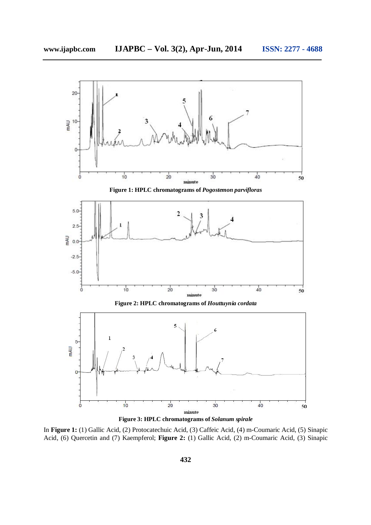



In **Figure 1:** (1) Gallic Acid, (2) Protocatechuic Acid, (3) Caffeic Acid, (4) m-Coumaric Acid, (5) Sinapic Acid, (6) Quercetin and (7) Kaempferol; **Figure 2:** (1) Gallic Acid, (2) m-Coumaric Acid, (3) Sinapic